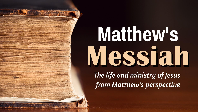## **Matthew's** Messiah

The life and ministry of Jesus from Matthew's perspective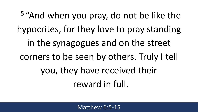<sup>5</sup> "And when you pray, do not be like the hypocrites, for they love to pray standing in the synagogues and on the street corners to be seen by others. Truly I tell you, they have received their reward in full.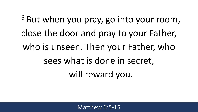<sup>6</sup> But when you pray, go into your room, close the door and pray to your Father, who is unseen. Then your Father, who sees what is done in secret, will reward you.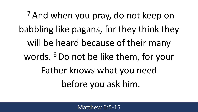<sup>7</sup> And when you pray, do not keep on babbling like pagans, for they think they will be heard because of their many words. <sup>8</sup> Do not be like them, for your Father knows what you need before you ask him.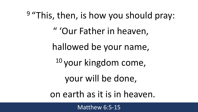9 "This, then, is how you should pray: " 'Our Father in heaven, hallowed be your name, <sup>10</sup> your kingdom come, your will be done, on earth as it is in heaven.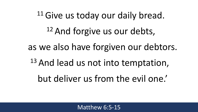<sup>11</sup> Give us today our daily bread. <sup>12</sup> And forgive us our debts, as we also have forgiven our debtors. <sup>13</sup> And lead us not into temptation, but deliver us from the evil one.'